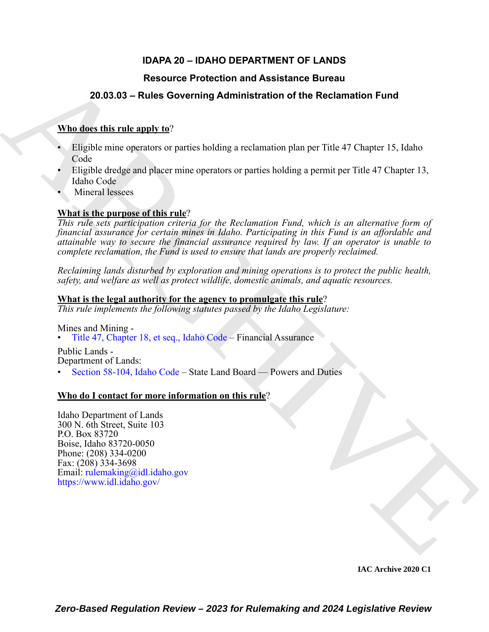# **IDAPA 20 – IDAHO DEPARTMENT OF LANDS**

# **Resource Protection and Assistance Bureau**

# **20.03.03 – Rules Governing Administration of the Reclamation Fund**

### **Who does this rule apply to**?

- Eligible mine operators or parties holding a reclamation plan per Title 47 Chapter 15, Idaho Code
- Eligible dredge and placer mine operators or parties holding a permit per Title 47 Chapter 13, Idaho Code
- Mineral lessees

## **What is the purpose of this rule**?

Resource Protection and Assistance Bureau<br>
20.03.03 - Rules Governing Administration of the Reclamation Fund<br>
Whatelest this relation of participal and the section of the Reclamation Fund<br>
Figure is related to the column *This rule sets participation criteria for the Reclamation Fund, which is an alternative form of financial assurance for certain mines in Idaho. Participating in this Fund is an affordable and attainable way to secure the financial assurance required by law. If an operator is unable to complete reclamation, the Fund is used to ensure that lands are properly reclaimed.*

*Reclaiming lands disturbed by exploration and mining operations is to protect the public health, safety, and welfare as well as protect wildlife, domestic animals, and aquatic resources.*

### **What is the legal authority for the agency to promulgate this rule**?

*This rule implements the following statutes passed by the Idaho Legislature:*

Mines and Mining -

• Title 47, Chapter 18, et seq., Idaho Code – Financial Assurance

Public Lands - Department of Lands:

• Section 58-104, Idaho Code – State Land Board — Powers and Duties

#### **Who do I contact for more information on this rule**?

Idaho Department of Lands 300 N. 6th Street, Suite 103 P.O. Box 83720 Boise, Idaho 83720-0050 Phone: (208) 334-0200 Fax: (208) 334-3698 Email: rulemaking@idl.idaho.gov https://www.idl.idaho.gov/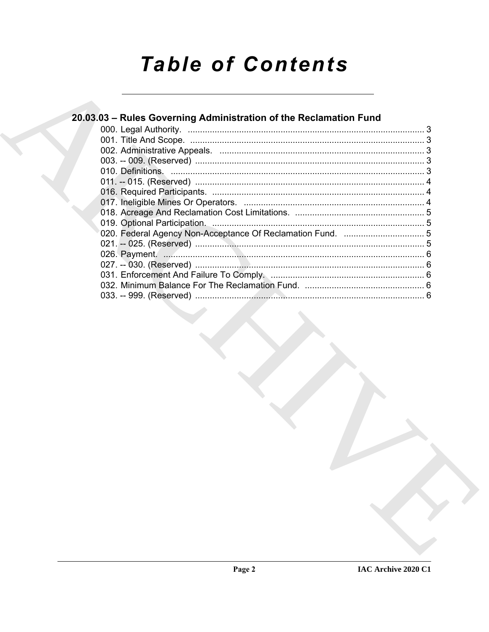# **Table of Contents**

| 20.03.03 - Rules Governing Administration of the Reclamation Fund |  |
|-------------------------------------------------------------------|--|
|                                                                   |  |
|                                                                   |  |
|                                                                   |  |
|                                                                   |  |
|                                                                   |  |
|                                                                   |  |
|                                                                   |  |
|                                                                   |  |
|                                                                   |  |
|                                                                   |  |
|                                                                   |  |
|                                                                   |  |
|                                                                   |  |
|                                                                   |  |
|                                                                   |  |
|                                                                   |  |
|                                                                   |  |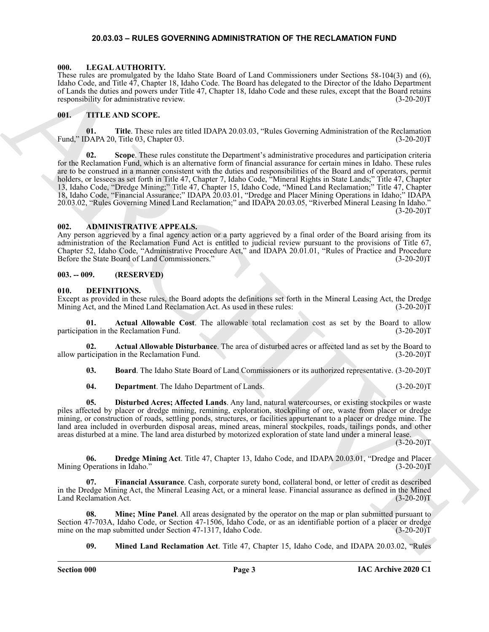#### <span id="page-2-17"></span>**20.03.03 – RULES GOVERNING ADMINISTRATION OF THE RECLAMATION FUND**

#### <span id="page-2-1"></span><span id="page-2-0"></span>**000. LEGAL AUTHORITY.**

These rules are promulgated by the Idaho State Board of Land Commissioners under Sections 58-104(3) and (6), Idaho Code, and Title 47, Chapter 18, Idaho Code. The Board has delegated to the Director of the Idaho Department of Lands the duties and powers under Title 47, Chapter 18, Idaho Code and these rules, except that the Board retains responsibility for administrative review. (3-20-20) T

#### <span id="page-2-18"></span><span id="page-2-2"></span>**001. TITLE AND SCOPE.**

**01. Title**. These rules are titled IDAPA 20.03.03, "Rules Governing Administration of the Reclamation Fund," IDAPA 20, Title 03, Chapter 03.

Hence by proposition of the state and the state of the state of the state of the state of the state of the state of the state of the state of the state of the state of the state of the state of the state of the state of t **02. Scope**. These rules constitute the Department's administrative procedures and participation criteria for the Reclamation Fund, which is an alternative form of financial assurance for certain mines in Idaho. These rules are to be construed in a manner consistent with the duties and responsibilities of the Board and of operators, permit holders, or lessees as set forth in Title 47, Chapter 7, Idaho Code, "Mineral Rights in State Lands;" Title 47, Chapter 13, Idaho Code, "Dredge Mining;" Title 47, Chapter 15, Idaho Code, "Mined Land Reclamation;" Title 47, Chapter 18, Idaho Code, "Financial Assurance;" IDAPA 20.03.01, "Dredge and Placer Mining Operations in Idaho;" IDAPA 20.03.02, "Rules Governing Mined Land Reclamation;" and IDAPA 20.03.05, "Riverbed Mineral Leasing In Idaho."  $(3-20-20)T$ 

#### <span id="page-2-6"></span><span id="page-2-3"></span>**002. ADMINISTRATIVE APPEALS.**

Any person aggrieved by a final agency action or a party aggrieved by a final order of the Board arising from its administration of the Reclamation Fund Act is entitled to judicial review pursuant to the provisions of Title 67, Chapter 52, Idaho Code, "Administrative Procedure Act," and IDAPA 20.01.01, "Rules of Practice and Procedure Before the State Board of Land Commissioners."

#### <span id="page-2-4"></span>**003. -- 009. (RESERVED)**

#### <span id="page-2-8"></span><span id="page-2-5"></span>**010. DEFINITIONS.**

Except as provided in these rules, the Board adopts the definitions set forth in the Mineral Leasing Act, the Dredge Mining Act, and the Mined Land Reclamation Act. As used in these rules: (3-20-20)T

<span id="page-2-9"></span>**01. Actual Allowable Cost**. The allowable total reclamation cost as set by the Board to allow participation in the Reclamation Fund.

**02. Actual Allowable Disturbance**. The area of disturbed acres or affected land as set by the Board to allow participation in the Reclamation Fund.

<span id="page-2-11"></span><span id="page-2-10"></span>**03. Board**. The Idaho State Board of Land Commissioners or its authorized representative. (3-20-20)T

<span id="page-2-12"></span><span id="page-2-7"></span>**04. Department**. The Idaho Department of Lands. (3-20-20)T

**05. Disturbed Acres; Affected Lands**. Any land, natural watercourses, or existing stockpiles or waste piles affected by placer or dredge mining, remining, exploration, stockpiling of ore, waste from placer or dredge mining, or construction of roads, settling ponds, structures, or facilities appurtenant to a placer or dredge mine. The land area included in overburden disposal areas, mined areas, mineral stockpiles, roads, tailings ponds, and other areas disturbed at a mine. The land area disturbed by motorized exploration of state land under a mineral lease.

 $(3-20-20)T$ 

<span id="page-2-13"></span>**06. Dredge Mining Act**. Title 47, Chapter 13, Idaho Code, and IDAPA 20.03.01, "Dredge and Placer Mining Operations in Idaho." (3-20-20)T

<span id="page-2-14"></span>**07. Financial Assurance**. Cash, corporate surety bond, collateral bond, or letter of credit as described in the Dredge Mining Act, the Mineral Leasing Act, or a mineral lease. Financial assurance as defined in the Mined Land Reclamation Act. (3-20-20)T

**08. Mine; Mine Panel**. All areas designated by the operator on the map or plan submitted pursuant to Section 47-703A, Idaho Code, or Section 47-1506, Idaho Code, or as an identifiable portion of a placer or dredge mine on the map submitted under Section 47-1317, Idaho Code. (3-20-20) (3-20-20)

<span id="page-2-16"></span><span id="page-2-15"></span>**09. Mined Land Reclamation Act**. Title 47, Chapter 15, Idaho Code, and IDAPA 20.03.02, "Rules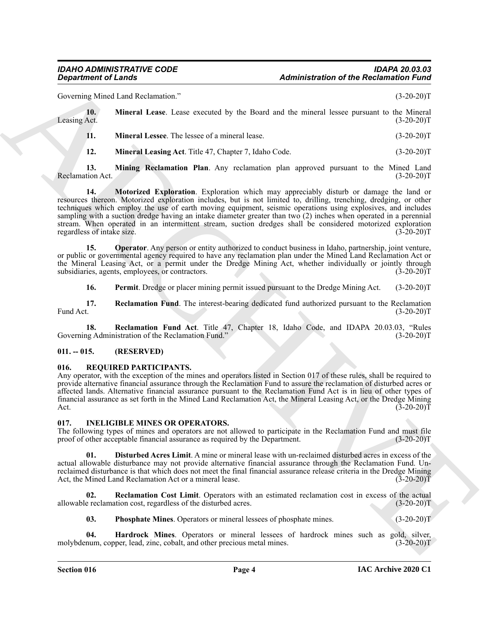Governing Mined Land Reclamation." (3-20-20)T

| Leasing Act. | Mineral Lease. Lease executed by the Board and the mineral lessee pursuant to the Mineral | $(3-20-20)T$ |
|--------------|-------------------------------------------------------------------------------------------|--------------|
|              | <b>Mineral Lessee.</b> The lessee of a mineral lease.                                     | $(3-20-20)T$ |

<span id="page-3-11"></span><span id="page-3-6"></span><span id="page-3-5"></span><span id="page-3-4"></span><span id="page-3-3"></span>**12. Mineral Leasing Act**. Title 47, Chapter 7, Idaho Code. (3-20-20)T

**13. Mining Reclamation Plan**. Any reclamation plan approved pursuant to the Mined Land tion Act. (3-20-20)T Reclamation Act.

**Equivariant of Lendar Constrainers Administration of the Reclaminion Fouriers**<br>Convenient Material Lendar Construction Construction in the Simple Construction of the Simple Construction Construction in the Simple Const **14. Motorized Exploration**. Exploration which may appreciably disturb or damage the land or resources thereon. Motorized exploration includes, but is not limited to, drilling, trenching, dredging, or other techniques which employ the use of earth moving equipment, seismic operations using explosives, and includes sampling with a suction dredge having an intake diameter greater than two (2) inches when operated in a perennial stream. When operated in an intermittent stream, suction dredges shall be considered motorized exploration regardless of intake size. (3-20-20) regardless of intake size.

**15. Operator**. Any person or entity authorized to conduct business in Idaho, partnership, joint venture, or public or governmental agency required to have any reclamation plan under the Mined Land Reclamation Act or the Mineral Leasing Act, or a permit under the Dredge Mining Act, whether individually or jointly through subsidiaries, agents, employees, or contractors. (3-20-20) subsidiaries, agents, employees, or contractors.

<span id="page-3-10"></span><span id="page-3-9"></span><span id="page-3-8"></span><span id="page-3-7"></span>**16.** Permit. Dredge or placer mining permit issued pursuant to the Dredge Mining Act. (3-20-20)T

**17. Reclamation Fund**. The interest-bearing dedicated fund authorized pursuant to the Reclamation Fund Act. (3-20-20)T Fund Act. (3-20-20)T

**18. Reclamation Fund Act**. Title 47, Chapter 18, Idaho Code, and IDAPA 20.03.03, "Rules ug Administration of the Reclamation Fund." (3-20-20) Governing Administration of the Reclamation Fund."

#### <span id="page-3-0"></span>**011. -- 015. (RESERVED)**

#### <span id="page-3-17"></span><span id="page-3-1"></span>**016. REQUIRED PARTICIPANTS.**

Any operator, with the exception of the mines and operators listed in Section 017 of these rules, shall be required to provide alternative financial assurance through the Reclamation Fund to assure the reclamation of disturbed acres or affected lands. Alternative financial assurance pursuant to the Reclamation Fund Act is in lieu of other types of financial assurance as set forth in the Mined Land Reclamation Act, the Mineral Leasing Act, or the Dredge Mining Act.  $(3-20-20)T$ 

#### <span id="page-3-12"></span><span id="page-3-2"></span>**017. INELIGIBLE MINES OR OPERATORS.**

The following types of mines and operators are not allowed to participate in the Reclamation Fund and must file proof of other acceptable financial assurance as required by the Department. (3-20-20)T proof of other acceptable financial assurance as required by the Department.

<span id="page-3-13"></span>**01. Disturbed Acres Limit**. A mine or mineral lease with un-reclaimed disturbed acres in excess of the actual allowable disturbance may not provide alternative financial assurance through the Reclamation Fund. Unreclaimed disturbance is that which does not meet the final financial assurance release criteria in the Dredge Mining<br>Act, the Mined Land Reclamation Act or a mineral lease. (3-20-20) Act, the Mined Land Reclamation Act or a mineral lease.

**02. Reclamation Cost Limit**. Operators with an estimated reclamation cost in excess of the actual allowable reclamation cost, regardless of the disturbed acres. (3-20-20)T

<span id="page-3-16"></span><span id="page-3-15"></span><span id="page-3-14"></span>**03. Phosphate Mines**. Operators or mineral lessees of phosphate mines. (3-20-20)T

**04. Hardrock Mines**. Operators or mineral lessees of hardrock mines such as gold, silver, num, copper, lead, zinc, cobalt, and other precious metal mines. (3-20-20) molybdenum, copper, lead, zinc, cobalt, and other precious metal mines.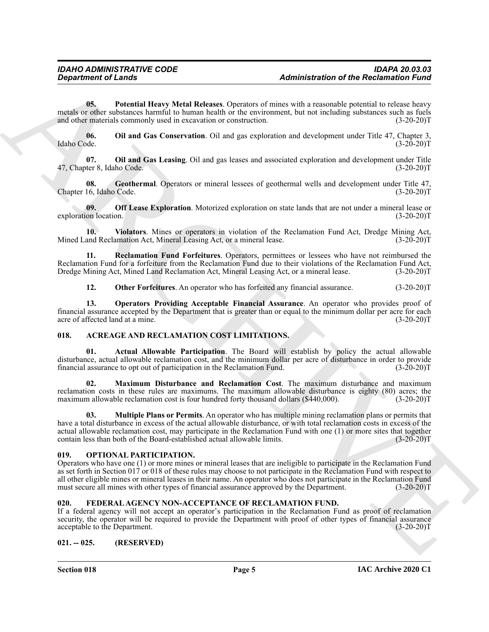<span id="page-4-15"></span>**05. Potential Heavy Metal Releases**. Operators of mines with a reasonable potential to release heavy metals or other substances harmful to human health or the environment, but not including substances such as fuels and other materials commonly used in excavation or construction. (3-20-20) and other materials commonly used in excavation or construction.

<span id="page-4-11"></span>**06.** Oil and Gas Conservation. Oil and gas exploration and development under Title 47, Chapter 3, Idaho Code. (3-20-20) Idaho Code. (3-20-20)T

<span id="page-4-12"></span>**07. Oil and Gas Leasing**. Oil and gas leases and associated exploration and development under Title 47, Chapter 8, Idaho Code. (3-20-20)T

<span id="page-4-9"></span>**08.** Geothermal. Operators or mineral lessees of geothermal wells and development under Title 47, 16, Idaho Code. (3-20-20) Chapter 16, Idaho Code.

<span id="page-4-10"></span>**09. Off Lease Exploration**. Motorized exploration on state lands that are not under a mineral lease or on location. (3-20-20) exploration location.

<span id="page-4-17"></span>**10. Violators**. Mines or operators in violation of the Reclamation Fund Act, Dredge Mining Act, Mined Land Reclamation Act, Mineral Leasing Act, or a mineral lease. (3-20-20)T

**11. Reclamation Fund Forfeitures**. Operators, permittees or lessees who have not reimbursed the Reclamation Fund for a forfeiture from the Reclamation Fund due to their violations of the Reclamation Fund Act, Dredge Mining Act, Mined Land Reclamation Act, Mineral Leasing Act, or a mineral lease. (3-20-20)T Dredge Mining Act, Mined Land Reclamation Act, Mineral Leasing Act, or a mineral lease.

<span id="page-4-16"></span><span id="page-4-14"></span><span id="page-4-13"></span>**12. Other Forfeitures**. An operator who has forfeited any financial assurance. (3-20-20)T

**13. Operators Providing Acceptable Financial Assurance**. An operator who provides proof of financial assurance accepted by the Department that is greater than or equal to the minimum dollar per acre for each acre of affected land at a mine. (3-20-20)T

#### <span id="page-4-4"></span><span id="page-4-0"></span>**018. ACREAGE AND RECLAMATION COST LIMITATIONS.**

<span id="page-4-5"></span>**01. Actual Allowable Participation**. The Board will establish by policy the actual allowable disturbance, actual allowable reclamation cost, and the minimum dollar per acre of disturbance in order to provide financial assurance to opt out of participation in the Reclamation Fund. (3-20-20) financial assurance to opt out of participation in the Reclamation Fund.

<span id="page-4-6"></span>**02. Maximum Disturbance and Reclamation Cost**. The maximum disturbance and maximum reclamation costs in these rules are maximums. The maximum allowable disturbance is eighty (80) acres; the maximum allowable reclamation cost is four hundred forty thousand dollars (\$440,000). (3-20-20)T

<span id="page-4-7"></span>**03. Multiple Plans or Permits**. An operator who has multiple mining reclamation plans or permits that have a total disturbance in excess of the actual allowable disturbance, or with total reclamation costs in excess of the actual allowable reclamation cost, may participate in the Reclamation Fund with one (1) or more sites that together contain less than both of the Board-established actual allowable limits. (3-20-20)T

#### <span id="page-4-18"></span><span id="page-4-1"></span>**019. OPTIONAL PARTICIPATION.**

**Exparament of Lendar<br>
16. The result of the Reclamation of the Reclamation Final<br>
16. The result of the material state of the context of the China with a response of the Reclamation English<br>
20. The material of the state** Operators who have one (1) or more mines or mineral leases that are ineligible to participate in the Reclamation Fund as set forth in Section 017 or 018 of these rules may choose to not participate in the Reclamation Fund with respect to all other eligible mines or mineral leases in their name. An operator who does not participate in the Reclamation Fund must secure all mines with other types of financial assurance approved by the Department. (3-20-20)T must secure all mines with other types of financial assurance approved by the Department.

#### <span id="page-4-8"></span><span id="page-4-2"></span>**020. FEDERAL AGENCY NON-ACCEPTANCE OF RECLAMATION FUND.**

If a federal agency will not accept an operator's participation in the Reclamation Fund as proof of reclamation security, the operator will be required to provide the Department with proof of other types of financial assurance acceptable to the Department. (3-20-20)T acceptable to the Department.

#### <span id="page-4-3"></span>**021. -- 025. (RESERVED)**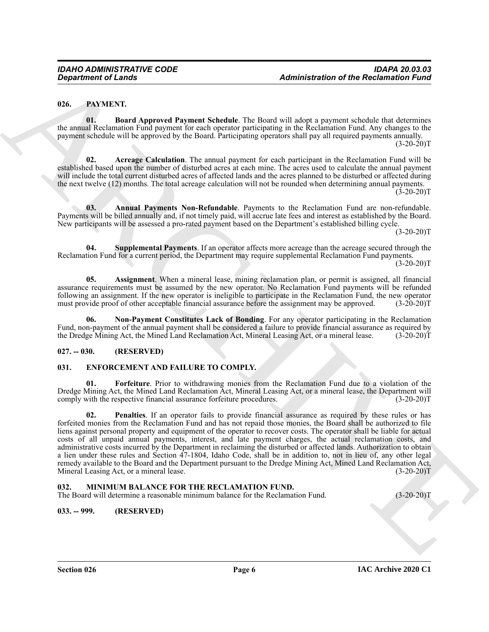#### <span id="page-5-9"></span><span id="page-5-0"></span>**026. PAYMENT.**

<span id="page-5-13"></span>**01. Board Approved Payment Schedule**. The Board will adopt a payment schedule that determines the annual Reclamation Fund payment for each operator participating in the Reclamation Fund. Any changes to the payment schedule will be approved by the Board. Participating operators shall pay all required payments annually.  $(3-20-20)T$ 

<span id="page-5-10"></span>**02. Acreage Calculation**. The annual payment for each participant in the Reclamation Fund will be established based upon the number of disturbed acres at each mine. The acres used to calculate the annual payment will include the total current disturbed acres of affected lands and the acres planned to be disturbed or affected during the next twelve (12) months. The total acreage calculation will not be rounded when determining annual payments.  $(3-20-20)$ T

<span id="page-5-11"></span>**03. Annual Payments Non-Refundable**. Payments to the Reclamation Fund are non-refundable. Payments will be billed annually and, if not timely paid, will accrue late fees and interest as established by the Board. New participants will be assessed a pro-rated payment based on the Department's established billing cycle.

 $(3-20-20)T$ 

<span id="page-5-15"></span>**04. Supplemental Payments**. If an operator affects more acreage than the acreage secured through the Reclamation Fund for a current period, the Department may require supplemental Reclamation Fund payments.  $(3-20-20)T$ 

<span id="page-5-12"></span>**05. Assignment**. When a mineral lease, mining reclamation plan, or permit is assigned, all financial assurance requirements must be assumed by the new operator. No Reclamation Fund payments will be refunded following an assignment. If the new operator is ineligible to participate in the Reclamation Fund, the new operator must provide proof of other acceptable financial assurance before the assignment may be approved. (3-20-20 must provide proof of other acceptable financial assurance before the assignment may be approved.

<span id="page-5-14"></span>**06. Non-Payment Constitutes Lack of Bonding**. For any operator participating in the Reclamation Fund, non-payment of the annual payment shall be considered a failure to provide financial assurance as required by the Dredge Mining Act, the Mined Land Reclamation Act, Mineral Leasing Act, or a mineral lease. (3-20-20)T the Dredge Mining Act, the Mined Land Reclamation Act, Mineral Leasing Act, or a mineral lease.

#### <span id="page-5-1"></span>**027. -- 030. (RESERVED)**

#### <span id="page-5-5"></span><span id="page-5-2"></span>**031. ENFORCEMENT AND FAILURE TO COMPLY.**

<span id="page-5-7"></span><span id="page-5-6"></span>Forfeiture. Prior to withdrawing monies from the Reclamation Fund due to a violation of the Dredge Mining Act, the Mined Land Reclamation Act, Mineral Leasing Act, or a mineral lease, the Department will comply with the respective financial assurance forfeiture procedures. (3-20-20)T

**Expansion of Lends<br>
14. Based Apparel Papurel Schedule.** The Book s-II along a particular defined for the<br>
16. Based Apparel Papurel Schedule. The Book s-II along a particular definite to define the<br>
16. Based Apparel Pa **02. Penalties**. If an operator fails to provide financial assurance as required by these rules or has forfeited monies from the Reclamation Fund and has not repaid those monies, the Board shall be authorized to file liens against personal property and equipment of the operator to recover costs. The operator shall be liable for actual costs of all unpaid annual payments, interest, and late payment charges, the actual reclamation costs, and administrative costs incurred by the Department in reclaiming the disturbed or affected lands. Authorization to obtain a lien under these rules and Section 47-1804, Idaho Code, shall be in addition to, not in lieu of, any other legal remedy available to the Board and the Department pursuant to the Dredge Mining Act, Mined Land Reclamation Act, Mineral Leasing Act, or a mineral lease. (3-20-20)T

#### <span id="page-5-8"></span><span id="page-5-3"></span>**032. MINIMUM BALANCE FOR THE RECLAMATION FUND.**

The Board will determine a reasonable minimum balance for the Reclamation Fund. (3-20-20)T

<span id="page-5-4"></span>**033. -- 999. (RESERVED)**